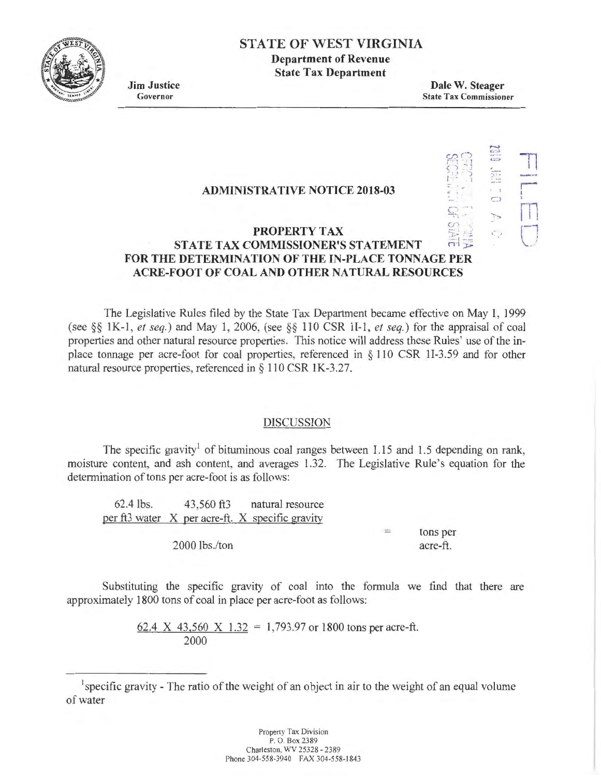

# **STATE OF WEST VIRGINIA**

**Department of Revenue State Tax Department** 

**Jim Justice**  Governor

**Dale W. Steager**  State Tax Commissioner

> ,.\_, <sup>c</sup>,  $\ddot{c}$  .  $\ddot{c}$

-:  $\bigcirc$ -">

r-- 1 I rn

 $\bigcup$ 

 $\mathbb{S}^{\Omega}$  $\ddot{\Omega}$ I ) • . ' <sup>I</sup>

 c· -,

# **ADMINISTRATIVE NOTICE 2018-03**

#### $\vec{v}$ **PROPERTY TAX STATE TAX COMMISSIONER'S STATEMENT FOR THE DETERMINATION OF THE IN-PLACE TONNAGE PER ACRE-FOOT OF COAL AND OTHER NATURAL RESOURCES**

The Legislative Rules filed by the State Tax Department became effective on May I, 1999 (see *§§* I K-1 , *et seq.)* and May 1, 2006, (see *§§* 110 CSR II-I, *et seq.)* for the appraisal of coal properties and other natural resource properties. This notice will address these Rules' use of the inplace tonnage per acre-foot for coal properties, referenced in *§* 110 CSR ll-3.59 and for other natural resource properties, referenced in  $\S$  110 CSR 1K-3.27.

### DISCUSSION

The specific gravity<sup>1</sup> of bituminous coal ranges between  $1.15$  and  $1.5$  depending on rank, moisture content, and ash content, and averages 1.32. The Legislative Rule's equation for the determination of tons per acre-foot is as follows:

62.4 lbs. 43,560 ft3 natural resource per ft3 water X per acre-ft. X specific gravity 2000 lbs./ton = tons per acre-ft.

Substituting the specific gravity of coal into the formula we find that there are approximately 1800 tons of coal in place per acre-foot as follows:

> 62.4 X 43,560 X 1.32 = 1,793.97 or 1800 tons per acre-ft. 2000

<sup>1</sup> specific gravity - The ratio of the weight of an object in air to the weight of an equal volume of water

> Property Tax Division P. O. Box 2389 Charleston. WV 25328 • 2389 Phone 304-558-3940 FAX 304-558-1843